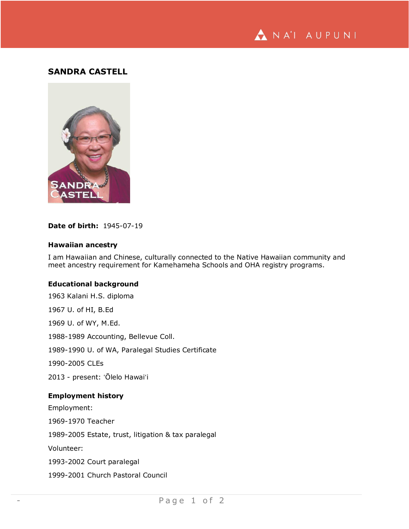

# **SANDRA CASTELL**



## **Date of birth:** 1945-07-19

### **Hawaiian ancestry**

I am Hawaiian and Chinese, culturally connected to the Native Hawaiian community and meet ancestry requirement for Kamehameha Schools and OHA registry programs.

### **Educational background**

1963 Kalani H.S. diploma 1967 U. of HI, B.Ed 1969 U. of WY, M.Ed. 1988-1989 Accounting, Bellevue Coll. 1989-1990 U. of WA, Paralegal Studies Certificate 1990-2005 CLEs 2013 - present: ʻŌlelo Hawaiʻi **Employment history** Employment: 1969-1970 Teacher 1989-2005 Estate, trust, litigation & tax paralegal Volunteer: 1993-2002 Court paralegal 1999-2001 Church Pastoral Council